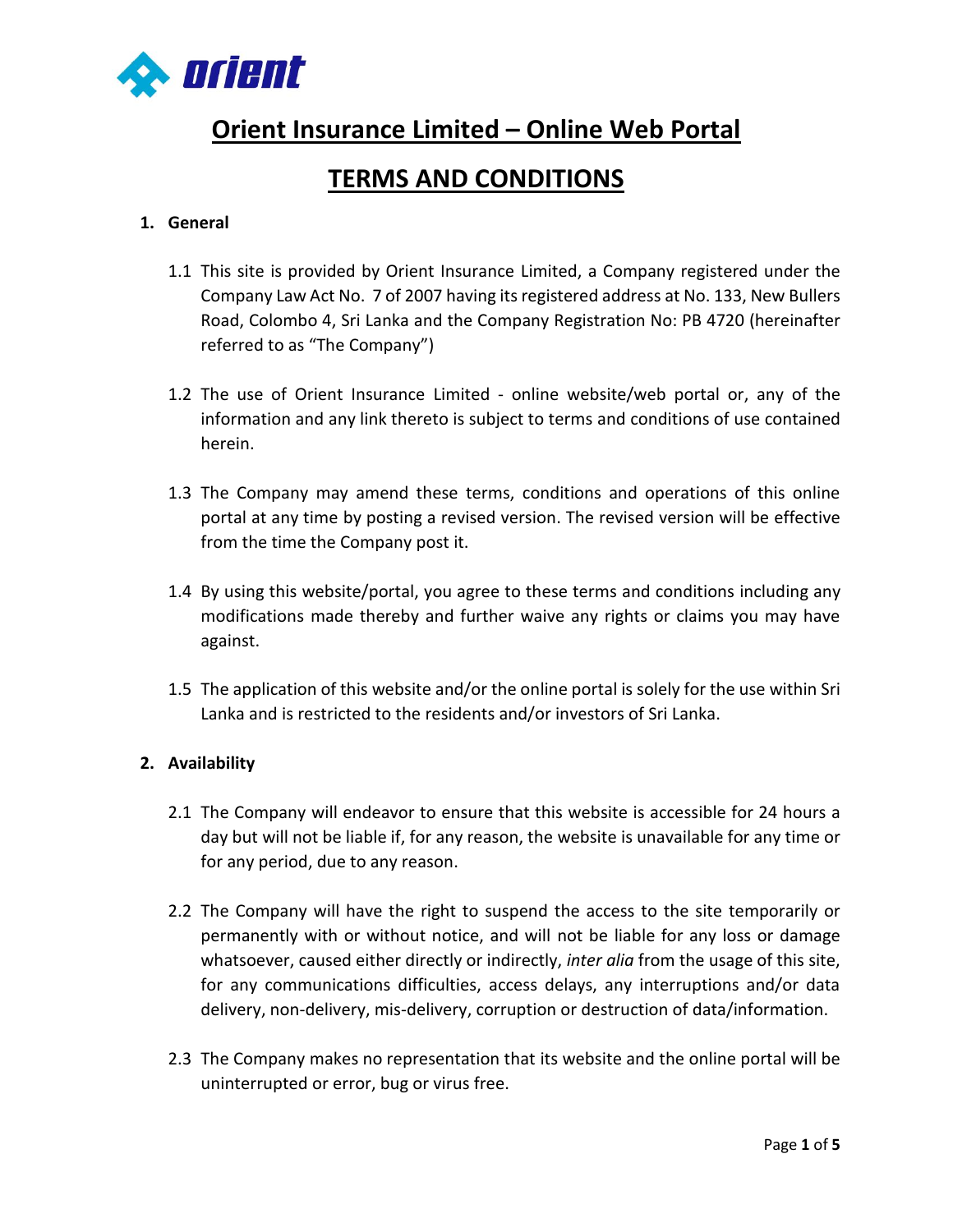

# **Orient Insurance Limited – Online Web Portal**

## **TERMS AND CONDITIONS**

### **1. General**

- 1.1 This site is provided by Orient Insurance Limited, a Company registered under the Company Law Act No. 7 of 2007 having its registered address at No. 133, New Bullers Road, Colombo 4, Sri Lanka and the Company Registration No: PB 4720 (hereinafter referred to as "The Company")
- 1.2 The use of Orient Insurance Limited online website/web portal or, any of the information and any link thereto is subject to terms and conditions of use contained herein.
- 1.3 The Company may amend these terms, conditions and operations of this online portal at any time by posting a revised version. The revised version will be effective from the time the Company post it.
- 1.4 By using this website/portal, you agree to these terms and conditions including any modifications made thereby and further waive any rights or claims you may have against.
- 1.5 The application of this website and/or the online portal is solely for the use within Sri Lanka and is restricted to the residents and/or investors of Sri Lanka.

#### **2. Availability**

- 2.1 The Company will endeavor to ensure that this website is accessible for 24 hours a day but will not be liable if, for any reason, the website is unavailable for any time or for any period, due to any reason.
- 2.2 The Company will have the right to suspend the access to the site temporarily or permanently with or without notice, and will not be liable for any loss or damage whatsoever, caused either directly or indirectly, *inter alia* from the usage of this site, for any communications difficulties, access delays, any interruptions and/or data delivery, non-delivery, mis-delivery, corruption or destruction of data/information.
- 2.3 The Company makes no representation that its website and the online portal will be uninterrupted or error, bug or virus free.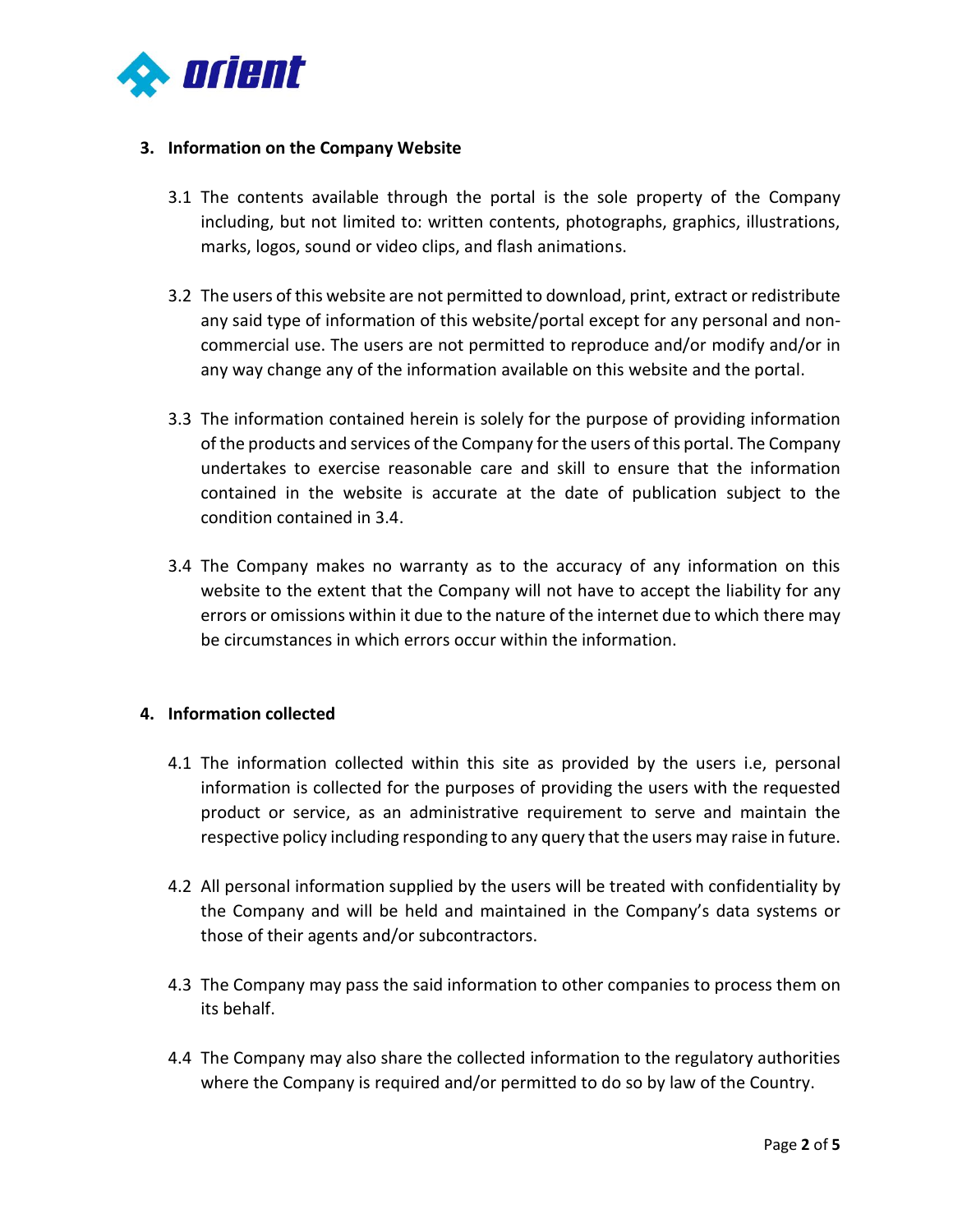

#### **3. Information on the Company Website**

- 3.1 The contents available through the portal is the sole property of the Company including, but not limited to: written contents, photographs, graphics, illustrations, marks, logos, sound or video clips, and flash animations.
- 3.2 The users of this website are not permitted to download, print, extract or redistribute any said type of information of this website/portal except for any personal and noncommercial use. The users are not permitted to reproduce and/or modify and/or in any way change any of the information available on this website and the portal.
- 3.3 The information contained herein is solely for the purpose of providing information of the products and services of the Company for the users of this portal. The Company undertakes to exercise reasonable care and skill to ensure that the information contained in the website is accurate at the date of publication subject to the condition contained in 3.4.
- 3.4 The Company makes no warranty as to the accuracy of any information on this website to the extent that the Company will not have to accept the liability for any errors or omissions within it due to the nature of the internet due to which there may be circumstances in which errors occur within the information.

#### **4. Information collected**

- 4.1 The information collected within this site as provided by the users i.e, personal information is collected for the purposes of providing the users with the requested product or service, as an administrative requirement to serve and maintain the respective policy including responding to any query that the users may raise in future.
- 4.2 All personal information supplied by the users will be treated with confidentiality by the Company and will be held and maintained in the Company's data systems or those of their agents and/or subcontractors.
- 4.3 The Company may pass the said information to other companies to process them on its behalf.
- 4.4 The Company may also share the collected information to the regulatory authorities where the Company is required and/or permitted to do so by law of the Country.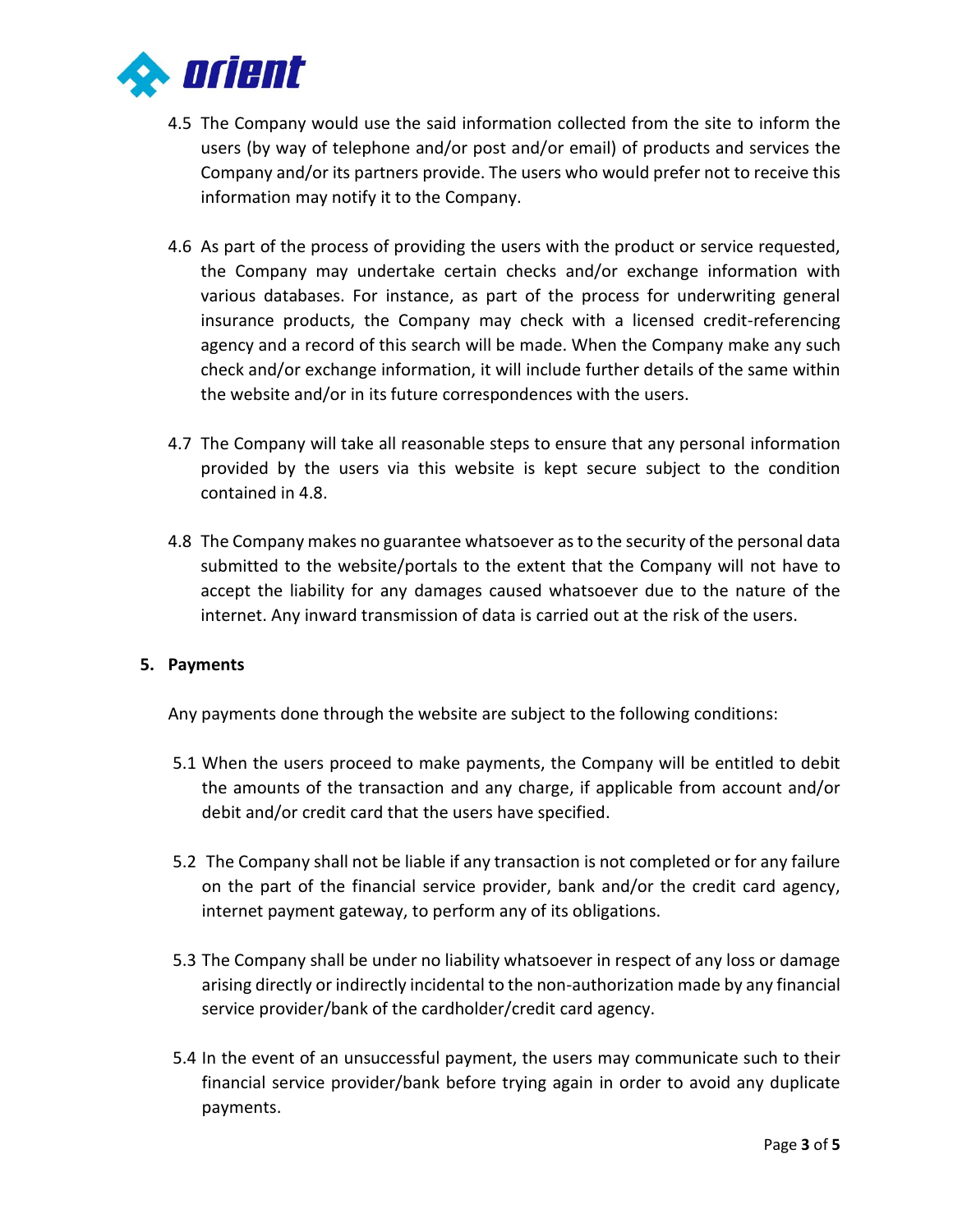

- 4.5 The Company would use the said information collected from the site to inform the users (by way of telephone and/or post and/or email) of products and services the Company and/or its partners provide. The users who would prefer not to receive this information may notify it to the Company.
- 4.6 As part of the process of providing the users with the product or service requested, the Company may undertake certain checks and/or exchange information with various databases. For instance, as part of the process for underwriting general insurance products, the Company may check with a licensed credit-referencing agency and a record of this search will be made. When the Company make any such check and/or exchange information, it will include further details of the same within the website and/or in its future correspondences with the users.
- 4.7 The Company will take all reasonable steps to ensure that any personal information provided by the users via this website is kept secure subject to the condition contained in 4.8.
- 4.8 The Company makes no guarantee whatsoever as to the security of the personal data submitted to the website/portals to the extent that the Company will not have to accept the liability for any damages caused whatsoever due to the nature of the internet. Any inward transmission of data is carried out at the risk of the users.

#### **5. Payments**

Any payments done through the website are subject to the following conditions:

- 5.1 When the users proceed to make payments, the Company will be entitled to debit the amounts of the transaction and any charge, if applicable from account and/or debit and/or credit card that the users have specified.
- 5.2 The Company shall not be liable if any transaction is not completed or for any failure on the part of the financial service provider, bank and/or the credit card agency, internet payment gateway, to perform any of its obligations.
- 5.3 The Company shall be under no liability whatsoever in respect of any loss or damage arising directly or indirectly incidental to the non-authorization made by any financial service provider/bank of the cardholder/credit card agency.
- 5.4 In the event of an unsuccessful payment, the users may communicate such to their financial service provider/bank before trying again in order to avoid any duplicate payments.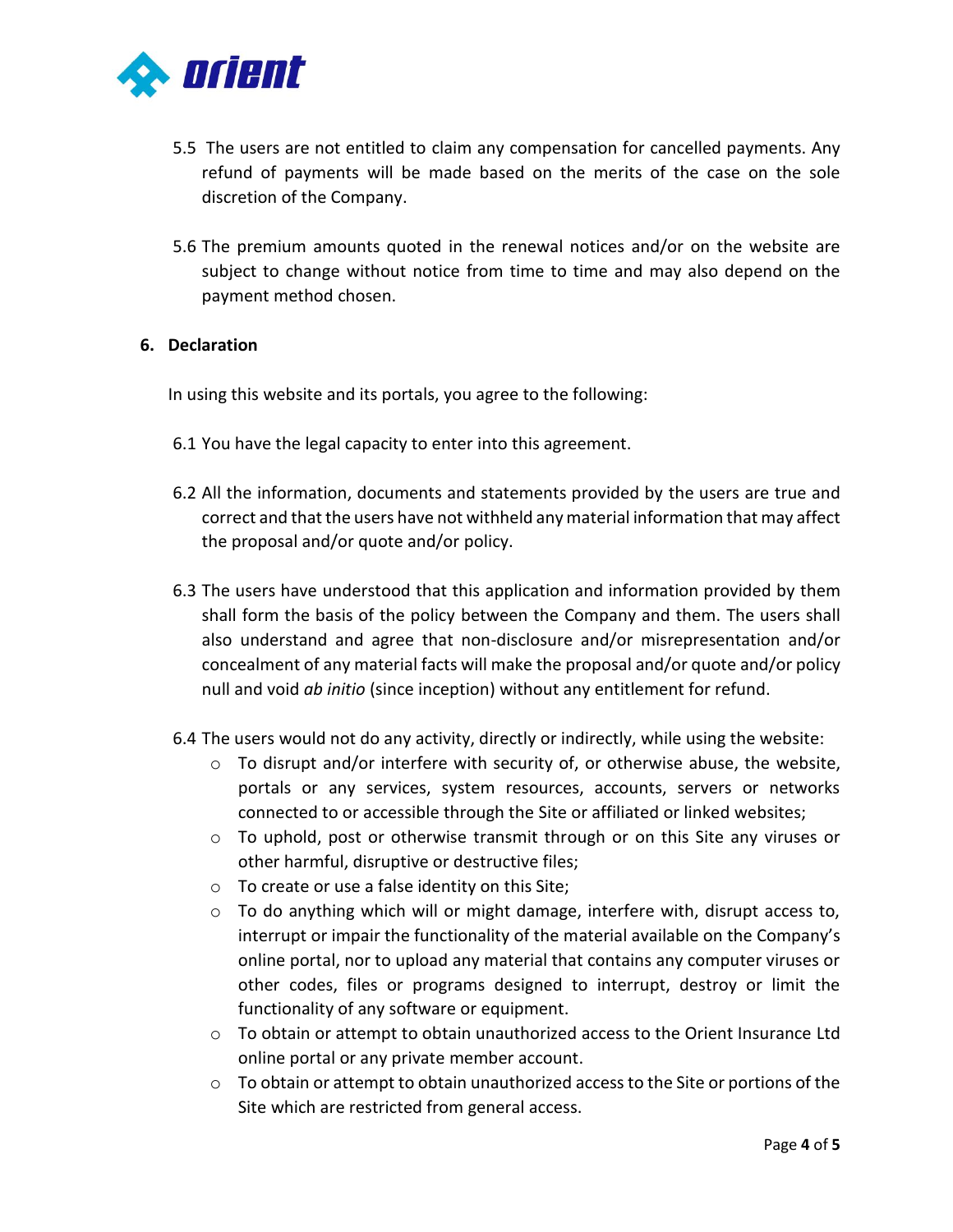

- 5.5 The users are not entitled to claim any compensation for cancelled payments. Any refund of payments will be made based on the merits of the case on the sole discretion of the Company.
- 5.6 The premium amounts quoted in the renewal notices and/or on the website are subject to change without notice from time to time and may also depend on the payment method chosen.

#### **6. Declaration**

In using this website and its portals, you agree to the following:

- 6.1 You have the legal capacity to enter into this agreement.
- 6.2 All the information, documents and statements provided by the users are true and correct and that the users have not withheld any material information that may affect the proposal and/or quote and/or policy.
- 6.3 The users have understood that this application and information provided by them shall form the basis of the policy between the Company and them. The users shall also understand and agree that non-disclosure and/or misrepresentation and/or concealment of any material facts will make the proposal and/or quote and/or policy null and void *ab initio* (since inception) without any entitlement for refund.
- 6.4 The users would not do any activity, directly or indirectly, while using the website:
	- $\circ$  To disrupt and/or interfere with security of, or otherwise abuse, the website, portals or any services, system resources, accounts, servers or networks connected to or accessible through the Site or affiliated or linked websites;
	- o To uphold, post or otherwise transmit through or on this Site any viruses or other harmful, disruptive or destructive files;
	- o To create or use a false identity on this Site;
	- $\circ$  To do anything which will or might damage, interfere with, disrupt access to, interrupt or impair the functionality of the material available on the Company's online portal, nor to upload any material that contains any computer viruses or other codes, files or programs designed to interrupt, destroy or limit the functionality of any software or equipment.
	- o To obtain or attempt to obtain unauthorized access to the Orient Insurance Ltd online portal or any private member account.
	- $\circ$  To obtain or attempt to obtain unauthorized access to the Site or portions of the Site which are restricted from general access.